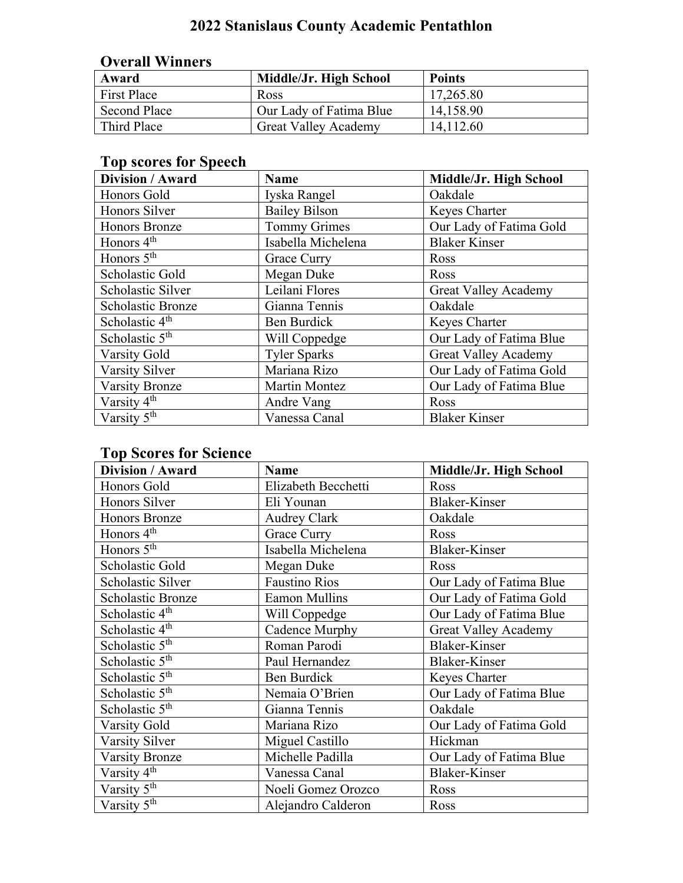## **2022 Stanislaus County Academic Pentathlon**

| <b>Overall Winners</b> |                             |               |
|------------------------|-----------------------------|---------------|
| Award                  | Middle/Jr. High School      | <b>Points</b> |
| <b>First Place</b>     | Ross                        | 17,265.80     |
| <b>Second Place</b>    | Our Lady of Fatima Blue     | 14,158.90     |
| Third Place            | <b>Great Valley Academy</b> | 14,112.60     |

## **Top scores for Speech**

| Division / Award           | <b>Name</b>          | Middle/Jr. High School      |
|----------------------------|----------------------|-----------------------------|
| Honors Gold                | Iyska Rangel         | Oakdale                     |
| Honors Silver              | <b>Bailey Bilson</b> | Keyes Charter               |
| <b>Honors Bronze</b>       | <b>Tommy Grimes</b>  | Our Lady of Fatima Gold     |
| Honors 4 <sup>th</sup>     | Isabella Michelena   | <b>Blaker Kinser</b>        |
| Honors $5th$               | Grace Curry          | Ross                        |
| Scholastic Gold            | Megan Duke           | Ross                        |
| Scholastic Silver          | Leilani Flores       | <b>Great Valley Academy</b> |
| Scholastic Bronze          | Gianna Tennis        | Oakdale                     |
| Scholastic 4 <sup>th</sup> | Ben Burdick          | Keyes Charter               |
| Scholastic $5th$           | Will Coppedge        | Our Lady of Fatima Blue     |
| Varsity Gold               | <b>Tyler Sparks</b>  | <b>Great Valley Academy</b> |
| Varsity Silver             | Mariana Rizo         | Our Lady of Fatima Gold     |
| <b>Varsity Bronze</b>      | <b>Martin Montez</b> | Our Lady of Fatima Blue     |
| Varsity 4 <sup>th</sup>    | Andre Vang           | Ross                        |
| Varsity 5 <sup>th</sup>    | Vanessa Canal        | <b>Blaker Kinser</b>        |

### **Top Scores for Science**

| Division / Award                     | <b>Name</b>          | Middle/Jr. High School      |
|--------------------------------------|----------------------|-----------------------------|
| Honors Gold                          | Elizabeth Becchetti  | Ross                        |
| Honors Silver                        | Eli Younan           | <b>Blaker-Kinser</b>        |
| Honors Bronze                        | <b>Audrey Clark</b>  | Oakdale                     |
| Honors 4 <sup>th</sup>               | Grace Curry          | Ross                        |
| $\overline{H}$ onors 5 <sup>th</sup> | Isabella Michelena   | <b>Blaker-Kinser</b>        |
| Scholastic Gold                      | Megan Duke           | Ross                        |
| Scholastic Silver                    | <b>Faustino Rios</b> | Our Lady of Fatima Blue     |
| <b>Scholastic Bronze</b>             | <b>Eamon Mullins</b> | Our Lady of Fatima Gold     |
| Scholastic 4 <sup>th</sup>           | Will Coppedge        | Our Lady of Fatima Blue     |
| Scholastic 4 <sup>th</sup>           | Cadence Murphy       | <b>Great Valley Academy</b> |
| Scholastic 5 <sup>th</sup>           | Roman Parodi         | <b>Blaker-Kinser</b>        |
| Scholastic 5 <sup>th</sup>           | Paul Hernandez       | <b>Blaker-Kinser</b>        |
| Scholastic 5 <sup>th</sup>           | Ben Burdick          | Keyes Charter               |
| Scholastic 5 <sup>th</sup>           | Nemaia O'Brien       | Our Lady of Fatima Blue     |
| Scholastic 5 <sup>th</sup>           | Gianna Tennis        | Oakdale                     |
| Varsity Gold                         | Mariana Rizo         | Our Lady of Fatima Gold     |
| Varsity Silver                       | Miguel Castillo      | Hickman                     |
| <b>Varsity Bronze</b>                | Michelle Padilla     | Our Lady of Fatima Blue     |
| Varsity 4 <sup>th</sup>              | Vanessa Canal        | <b>Blaker-Kinser</b>        |
| Varsity 5 <sup>th</sup>              | Noeli Gomez Orozco   | Ross                        |
| Varsity 5 <sup>th</sup>              | Alejandro Calderon   | Ross                        |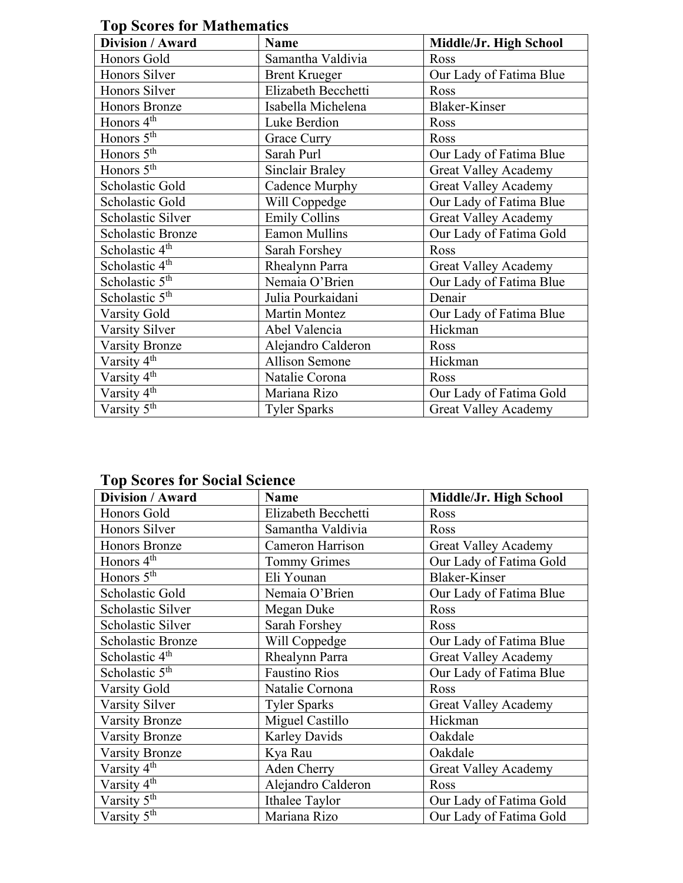| 1 op Stol to for Blathematics |                       |                             |  |
|-------------------------------|-----------------------|-----------------------------|--|
| Division / Award              | <b>Name</b>           | Middle/Jr. High School      |  |
| Honors Gold                   | Samantha Valdivia     | Ross                        |  |
| Honors Silver                 | <b>Brent Krueger</b>  | Our Lady of Fatima Blue     |  |
| Honors Silver                 | Elizabeth Becchetti   | Ross                        |  |
| <b>Honors Bronze</b>          | Isabella Michelena    | <b>Blaker-Kinser</b>        |  |
| Honors 4 <sup>th</sup>        | Luke Berdion          | Ross                        |  |
| Honors 5 <sup>th</sup>        | Grace Curry           | Ross                        |  |
| Honors 5 <sup>th</sup>        | Sarah Purl            | Our Lady of Fatima Blue     |  |
| Honors 5 <sup>th</sup>        | Sinclair Braley       | <b>Great Valley Academy</b> |  |
| Scholastic Gold               | Cadence Murphy        | <b>Great Valley Academy</b> |  |
| Scholastic Gold               | Will Coppedge         | Our Lady of Fatima Blue     |  |
| Scholastic Silver             | <b>Emily Collins</b>  | <b>Great Valley Academy</b> |  |
| <b>Scholastic Bronze</b>      | <b>Eamon Mullins</b>  | Our Lady of Fatima Gold     |  |
| Scholastic 4 <sup>th</sup>    | Sarah Forshey         | Ross                        |  |
| Scholastic 4 <sup>th</sup>    | Rhealynn Parra        | <b>Great Valley Academy</b> |  |
| Scholastic $5th$              | Nemaia O'Brien        | Our Lady of Fatima Blue     |  |
| Scholastic 5 <sup>th</sup>    | Julia Pourkaidani     | Denair                      |  |
| Varsity Gold                  | <b>Martin Montez</b>  | Our Lady of Fatima Blue     |  |
| Varsity Silver                | Abel Valencia         | Hickman                     |  |
| <b>Varsity Bronze</b>         | Alejandro Calderon    | Ross                        |  |
| Varsity 4 <sup>th</sup>       | <b>Allison Semone</b> | Hickman                     |  |
| Varsity 4 <sup>th</sup>       | Natalie Corona        | Ross                        |  |
| Varsity 4 <sup>th</sup>       | Mariana Rizo          | Our Lady of Fatima Gold     |  |
| Varsity 5 <sup>th</sup>       | <b>Tyler Sparks</b>   | <b>Great Valley Academy</b> |  |

**Top Scores for Mathematics**

#### **Top Scores for Social Science**

| Division / Award           | <b>Name</b>          | Middle/Jr. High School      |
|----------------------------|----------------------|-----------------------------|
| Honors Gold                | Elizabeth Becchetti  | Ross                        |
| Honors Silver              | Samantha Valdivia    | Ross                        |
| <b>Honors Bronze</b>       | Cameron Harrison     | <b>Great Valley Academy</b> |
| Honors 4 <sup>th</sup>     | <b>Tommy Grimes</b>  | Our Lady of Fatima Gold     |
| Honors $5th$               | Eli Younan           | <b>Blaker-Kinser</b>        |
| Scholastic Gold            | Nemaia O'Brien       | Our Lady of Fatima Blue     |
| Scholastic Silver          | Megan Duke           | Ross                        |
| Scholastic Silver          | Sarah Forshey        | Ross                        |
| Scholastic Bronze          | Will Coppedge        | Our Lady of Fatima Blue     |
| Scholastic 4 <sup>th</sup> | Rhealynn Parra       | <b>Great Valley Academy</b> |
| Scholastic 5 <sup>th</sup> | <b>Faustino Rios</b> | Our Lady of Fatima Blue     |
| <b>Varsity Gold</b>        | Natalie Cornona      | Ross                        |
| Varsity Silver             | <b>Tyler Sparks</b>  | <b>Great Valley Academy</b> |
| <b>Varsity Bronze</b>      | Miguel Castillo      | Hickman                     |
| <b>Varsity Bronze</b>      | Karley Davids        | Oakdale                     |
| <b>Varsity Bronze</b>      | Kya Rau              | Oakdale                     |
| Varsity 4 <sup>th</sup>    | Aden Cherry          | <b>Great Valley Academy</b> |
| Varsity 4 <sup>th</sup>    | Alejandro Calderon   | Ross                        |
| Varsity 5 <sup>th</sup>    | Ithalee Taylor       | Our Lady of Fatima Gold     |
| Varsity 5 <sup>th</sup>    | Mariana Rizo         | Our Lady of Fatima Gold     |